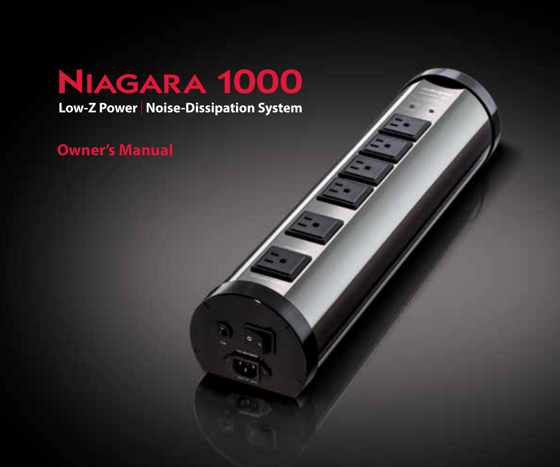# Niagara 1000

**Low-Z Power** | **Noise-Dissipation System**

**Owner's Manual**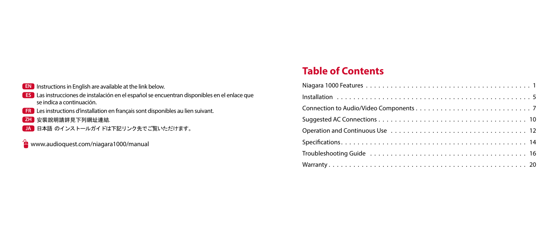#### **EN** Instructions in English are available at the link below.

- **ES** Las instrucciones de instalación en el español se encuentran disponibles en el enlace que se indica a continuación.
- **FR** Les instructions d'installation en français sont disponibles au lien suivant.
- **ZH** 安裝說明請詳見下列網址連結.
- **JA** 日本語 のインストールガイドは下記リンク先でご覧いただけます。

**www.audioquest.com/niagara1000/manual** 

# **Table of Contents**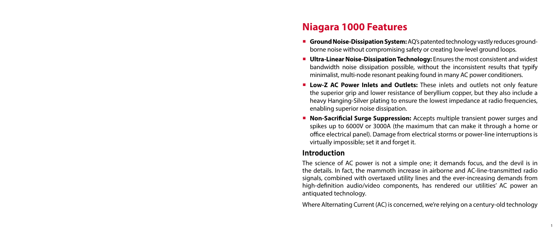# **Niagara 1000 Features**

- **Ground Noise-Dissipation System:** AQ's patented technology vastly reduces groundborne noise without compromising safety or creating low-level ground loops.
- **Ultra-Linear Noise-Dissipation Technology:** Ensures the most consistent and widest bandwidth noise dissipation possible, without the inconsistent results that typify minimalist, multi-node resonant peaking found in many AC power conditioners.
- ¡ **Low-Z AC Power Inlets and Outlets:** These inlets and outlets not only feature the superior grip and lower resistance of beryllium copper, but they also include a heavy Hanging-Silver plating to ensure the lowest impedance at radio frequencies, enabling superior noise dissipation.
- ¡ **Non-Sacrificial Surge Suppression:** Accepts multiple transient power surges and spikes up to 6000V or 3000A (the maximum that can make it through a home or office electrical panel). Damage from electrical storms or power-line interruptions is virtually impossible; set it and forget it.

#### **Introduction**

The science of AC power is not a simple one; it demands focus, and the devil is in the details. In fact, the mammoth increase in airborne and AC-line-transmitted radio signals, combined with overtaxed utility lines and the ever-increasing demands from high-definition audio/video components, has rendered our utilities' AC power an antiquated technology.

Where Alternating Current (AC) is concerned, we're relying on a century-old technology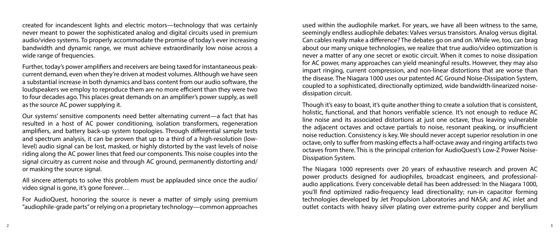created for incandescent lights and electric motors—technology that was certainly never meant to power the sophisticated analog and digital circuits used in premium audio/video systems. To properly accommodate the promise of today's ever increasing bandwidth and dynamic range, we must achieve extraordinarily low noise across a wide range of frequencies.

Further, today's power amplifiers and receivers are being taxed for instantaneous peakcurrent demand, even when they're driven at modest volumes. Although we have seen a substantial increase in both dynamics and bass content from our audio software, the loudspeakers we employ to reproduce them are no more efficient than they were two to four decades ago. This places great demands on an amplifier's power supply, as well as the source AC power supplying it.

Our systems' sensitive components need better alternating current—a fact that has resulted in a host of AC power conditioning, isolation transformers, regeneration amplifiers, and battery back-up system topologies. Through differential sample tests and spectrum analysis, it can be proven that up to a third of a high-resolution (lowlevel) audio signal can be lost, masked, or highly distorted by the vast levels of noise riding along the AC power lines that feed our components. This noise couples into the signal circuitry as current noise and through AC ground, permanently distorting and/ or masking the source signal.

All sincere attempts to solve this problem must be applauded since once the audio/ video signal is gone, it's gone forever…

For AudioQuest, honoring the source is never a matter of simply using premium "audiophile-grade parts" or relying on a proprietary technology—common approaches

used within the audiophile market. For years, we have all been witness to the same, seemingly endless audiophile debates: Valves versus transistors. Analog versus digital. Can cables really make a difference? The debates go on and on. While we, too, can brag about our many unique technologies, we realize that true audio/video optimization is never a matter of any one secret or exotic circuit. When it comes to noise dissipation for AC power, many approaches can yield meaningful results. However, they may also impart ringing, current compression, and non-linear distortions that are worse than the disease. The Niagara 1000 uses our patented AC Ground Noise-Dissipation System, coupled to a sophisticated, directionally optimized, wide bandwidth-linearized noisedissipation circuit.

Though it's easy to boast, it's quite another thing to create a solution that is consistent, holistic, functional, and that honors verifiable science. It's not enough to reduce AC line noise and its associated distortions at just one octave, thus leaving vulnerable the adjacent octaves and octave partials to noise, resonant peaking, or insufficient noise reduction. Consistency is key. We should never accept superior resolution in one octave, only to suffer from masking effects a half-octave away and ringing artifacts two octaves from there. This is the principal criterion for AudioQuest's Low-Z Power Noise-Dissipation System.

The Niagara 1000 represents over 20 years of exhaustive research and proven AC power products designed for audiophiles, broadcast engineers, and professionalaudio applications. Every conceivable detail has been addressed: In the Niagara 1000, you'll find optimized radio-frequency lead directionality; run-in capacitor forming technologies developed by Jet Propulsion Laboratories and NASA; and AC inlet and outlet contacts with heavy silver plating over extreme-purity copper and beryllium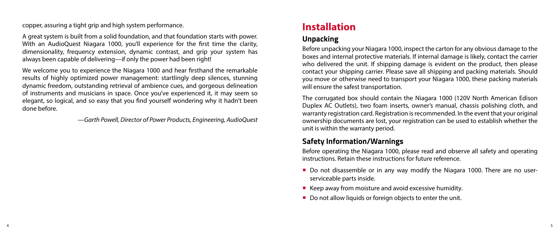copper, assuring a tight grip and high system performance.

A great system is built from a solid foundation, and that foundation starts with power. With an AudioQuest Niagara 1000, you'll experience for the first time the clarity, dimensionality, frequency extension, dynamic contrast, and grip your system has always been capable of delivering—if only the power had been right!

We welcome you to experience the Niagara 1000 and hear firsthand the remarkable results of highly optimized power management: startlingly deep silences, stunning dynamic freedom, outstanding retrieval of ambience cues, and gorgeous delineation of instruments and musicians in space. Once you've experienced it, it may seem so elegant, so logical, and so easy that you find yourself wondering why it hadn't been done before.

—*Garth Powell, Director of Power Products, Engineering, AudioQuest*

# **Installation**

### **Unpacking**

Before unpacking your Niagara 1000, inspect the carton for any obvious damage to the boxes and internal protective materials. If internal damage is likely, contact the carrier who delivered the unit. If shipping damage is evident on the product, then please contact your shipping carrier. Please save all shipping and packing materials. Should you move or otherwise need to transport your Niagara 1000, these packing materials will ensure the safest transportation.

The corrugated box should contain the Niagara 1000 (120V North American Edison Duplex AC Outlets), two foam inserts, owner's manual, chassis polishing cloth, and warranty registration card. Registration is recommended. In the event that your original ownership documents are lost, your registration can be used to establish whether the unit is within the warranty period.

### **Safety Information/Warnings**

Before operating the Niagara 1000, please read and observe all safety and operating instructions. Retain these instructions for future reference.

- Do not disassemble or in any way modify the Niagara 1000. There are no userserviceable parts inside.
- $\blacksquare$  Keep away from moisture and avoid excessive humidity.
- Do not allow liquids or foreign objects to enter the unit.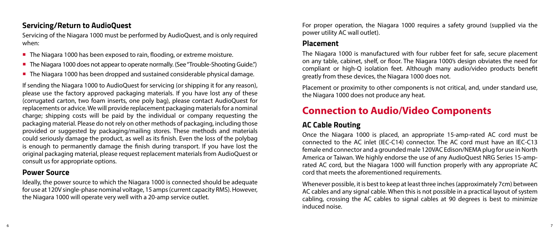### **Servicing/Return to AudioQuest**

Servicing of the Niagara 1000 must be performed by AudioQuest, and is only required when:

- The Niagara 1000 has been exposed to rain, flooding, or extreme moisture.
- The Niagara 1000 does not appear to operate normally. (See "Trouble-Shooting Guide.")
- The Niagara 1000 has been dropped and sustained considerable physical damage.

If sending the Niagara 1000 to AudioQuest for servicing (or shipping it for any reason), please use the factory approved packaging materials. If you have lost any of these (corrugated carton, two foam inserts, one poly bag), please contact AudioQuest for replacements or advice. We will provide replacement packaging materials for a nominal charge; shipping costs will be paid by the individual or company requesting the packaging material. Please do not rely on other methods of packaging, including those provided or suggested by packaging/mailing stores. These methods and materials could seriously damage the product, as well as its finish. Even the loss of the polybag is enough to permanently damage the finish during transport. If you have lost the original packaging material, please request replacement materials from AudioQuest or consult us for appropriate options.

#### **Power Source**

Ideally, the power source to which the Niagara 1000 is connected should be adequate for use at 120V single-phase nominal voltage, 15 amps (current capacity RMS). However, the Niagara 1000 will operate very well with a 20-amp service outlet.

For proper operation, the Niagara 1000 requires a safety ground (supplied via the power utility AC wall outlet).

#### **Placement**

The Niagara 1000 is manufactured with four rubber feet for safe, secure placement on any table, cabinet, shelf, or floor. The Niagara 1000's design obviates the need for compliant or high-Q isolation feet. Although many audio/video products benefit greatly from these devices, the Niagara 1000 does not.

Placement or proximity to other components is not critical, and, under standard use, the Niagara 1000 does not produce any heat.

# **Connection to Audio/Video Components**

## **AC Cable Routing**

Once the Niagara 1000 is placed, an appropriate 15-amp-rated AC cord must be connected to the AC inlet (IEC-C14) connector. The AC cord must have an IEC-C13 female end connector and a grounded male 120VAC Edison/NEMA plug for use in North America or Taiwan. We highly endorse the use of any AudioQuest NRG Series 15-amprated AC cord, but the Niagara 1000 will function properly with any appropriate AC cord that meets the aforementioned requirements.

Whenever possible, it is best to keep at least three inches (approximately 7cm) between AC cables and any signal cable. When this is not possible in a practical layout of system cabling, crossing the AC cables to signal cables at 90 degrees is best to minimize induced noise.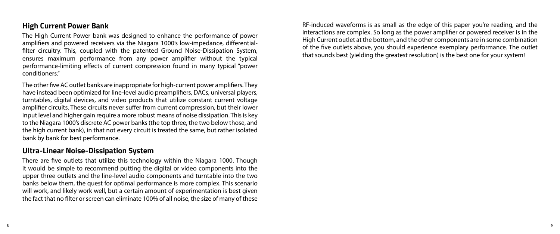### **High Current Power Bank**

The High Current Power bank was designed to enhance the performance of power amplifiers and powered receivers via the Niagara 1000's low-impedance, differentialfilter circuitry. This, coupled with the patented Ground Noise-Dissipation System, ensures maximum performance from any power amplifier without the typical performance-limiting effects of current compression found in many typical "power conditioners."

The other five AC outlet banks are inappropriate for high-current power amplifiers. They have instead been optimized for line-level audio preamplifiers, DACs, universal players, turntables, digital devices, and video products that utilize constant current voltage amplifier circuits. These circuits never suffer from current compression, but their lower input level and higher gain require a more robust means of noise dissipation. This is key to the Niagara 1000's discrete AC power banks (the top three, the two below those, and the high current bank), in that not every circuit is treated the same, but rather isolated bank by bank for best performance.

#### **Ultra-Linear Noise-Dissipation System**

There are five outlets that utilize this technology within the Niagara 1000. Though it would be simple to recommend putting the digital or video components into the upper three outlets and the line-level audio components and turntable into the two banks below them, the quest for optimal performance is more complex. This scenario will work, and likely work well, but a certain amount of experimentation is best given the fact that no filter or screen can eliminate 100% of all noise, the size of many of these

RF-induced waveforms is as small as the edge of this paper you're reading, and the interactions are complex. So long as the power amplifier or powered receiver is in the High Current outlet at the bottom, and the other components are in some combination of the five outlets above, you should experience exemplary performance. The outlet that sounds best (yielding the greatest resolution) is the best one for your system!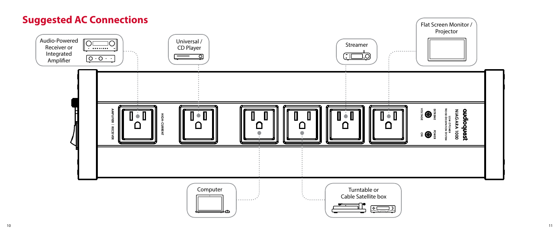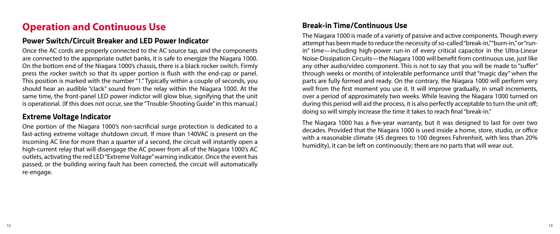# **Operation and Continuous Use**

#### **Power Switch/Circuit Breaker and LED Power Indicator**

Once the AC cords are properly connected to the AC source tap, and the components are connected to the appropriate outlet banks, it is safe to energize the Niagara 1000. On the bottom end of the Niagara 1000's chassis, there is a black rocker switch. Firmly press the rocker switch so that its upper portion is flush with the end-cap or panel. This position is marked with the number "1." Typically within a couple of seconds, you should hear an audible "clack" sound from the relay within the Niagara 1000. At the same time, the front-panel LED power indictor will glow blue, signifying that the unit is operational. (If this does not occur, see the "Trouble-Shooting Guide" in this manual.)

### **Extreme Voltage Indicator**

One portion of the Niagara 1000's non-sacrificial surge protection is dedicated to a fast-acting extreme voltage shutdown circuit. If more than 140VAC is present on the incoming AC line for more than a quarter of a second, the circuit will instantly open a high-current relay that will disengage the AC power from all of the Niagara 1000's AC outlets, activating the red LED "Extreme Voltage" warning indicator. Once the event has passed, or the building wiring fault has been corrected, the circuit will automatically re-engage.

### **Break-in Time/Continuous Use**

The Niagara 1000 is made of a variety of passive and active components. Though every attempt has been made to reduce the necessity of so-called "break-in," "burn-in," or "runin" time—including high-power run-in of every critical capacitor in the Ultra-Linear Noise-Dissipation Circuits—the Niagara 1000 will benefit from continuous use, just like any other audio/video component. This is not to say that you will be made to "suffer" through weeks or months of intolerable performance until that "magic day" when the parts are fully formed and ready. On the contrary, the Niagara 1000 will perform very well from the first moment you use it. It will improve gradually, in small increments, over a period of approximately two weeks. While leaving the Niagara 1000 turned on during this period will aid the process, it is also perfectly acceptable to turn the unit off; doing so will simply increase the time it takes to reach final "break-in."

The Niagara 1000 has a five-year warranty, but it was designed to last for over two decades. Provided that the Niagara 1000 is used inside a home, store, studio, or office with a reasonable climate (45 degrees to 100 degrees Fahrenheit, with less than 20% humidity), it can be left on continuously; there are no parts that will wear out.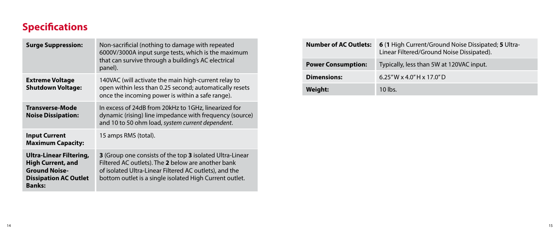# **Specifications**

| <b>Surge Suppression:</b>                                                                                                    | Non-sacrificial (nothing to damage with repeated<br>6000V/3000A input surge tests, which is the maximum<br>that can survive through a building's AC electrical<br>panel).                                                           |
|------------------------------------------------------------------------------------------------------------------------------|-------------------------------------------------------------------------------------------------------------------------------------------------------------------------------------------------------------------------------------|
| <b>Extreme Voltage</b><br><b>Shutdown Voltage:</b>                                                                           | 140VAC (will activate the main high-current relay to<br>open within less than 0.25 second; automatically resets<br>once the incoming power is within a safe range).                                                                 |
| Transverse-Mode<br><b>Noise Dissipation:</b>                                                                                 | In excess of 24dB from 20kHz to 1GHz, linearized for<br>dynamic (rising) line impedance with frequency (source)<br>and 10 to 50 ohm load, system current dependent.                                                                 |
| <b>Input Current</b><br><b>Maximum Capacity:</b>                                                                             | 15 amps RMS (total).                                                                                                                                                                                                                |
| Ultra-Linear Filtering,<br><b>High Current, and</b><br><b>Ground Noise-</b><br><b>Dissipation AC Outlet</b><br><b>Banks:</b> | 3 (Group one consists of the top 3 isolated Ultra-Linear<br>Filtered AC outlets). The 2 below are another bank<br>of isolated Ultra-Linear Filtered AC outlets), and the<br>bottom outlet is a single isolated High Current outlet. |

| <b>Number of AC Outlets:</b> | 6 (1 High Current/Ground Noise Dissipated; 5 Ultra-<br>Linear Filtered/Ground Noise Dissipated). |
|------------------------------|--------------------------------------------------------------------------------------------------|
| <b>Power Consumption:</b>    | Typically, less than 5W at 120VAC input.                                                         |
| <b>Dimensions:</b>           | $6.25''$ W x 4.0"H x 17.0"D                                                                      |
| Weight:                      | $10$ lbs.                                                                                        |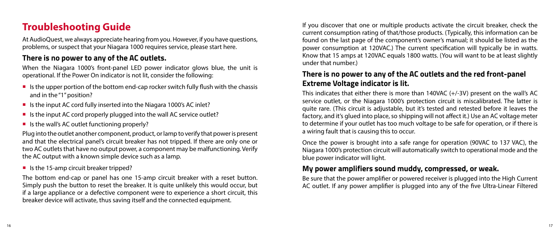# **Troubleshooting Guide**

At AudioQuest, we always appreciate hearing from you. However, if you have questions, problems, or suspect that your Niagara 1000 requires service, please start here.

## **There is no power to any of the AC outlets.**

When the Niagara 1000's front-panel LED power indicator glows blue, the unit is operational. If the Power On indicator is not lit, consider the following:

- Is the upper portion of the bottom end-cap rocker switch fully flush with the chassis and in the "1" position?
- Is the input AC cord fully inserted into the Niagara 1000's AC inlet?
- Is the input AC cord properly plugged into the wall AC service outlet?
- $\blacksquare$  Is the wall's AC outlet functioning properly?

Plug into the outlet another component, product, or lamp to verify that power is present and that the electrical panel's circuit breaker has not tripped. If there are only one or two AC outlets that have no output power, a component may be malfunctioning. Verify the AC output with a known simple device such as a lamp.

■ Is the 15-amp circuit breaker tripped?

The bottom end-cap or panel has one 15-amp circuit breaker with a reset button. Simply push the button to reset the breaker. It is quite unlikely this would occur, but if a large appliance or a defective component were to experience a short circuit, this breaker device will activate, thus saving itself and the connected equipment.

If you discover that one or multiple products activate the circuit breaker, check the current consumption rating of that/those products. (Typically, this information can be found on the last page of the component's owner's manual; it should be listed as the power consumption at 120VAC.) The current specification will typically be in watts. Know that 15 amps at 120VAC equals 1800 watts. (You will want to be at least slightly under that number.)

# **There is no power to any of the AC outlets and the red front-panel Extreme Voltage indicator is lit.**

This indicates that either there is more than 140VAC (+/-3V) present on the wall's AC service outlet, or the Niagara 1000's protection circuit is miscalibrated. The latter is quite rare. (This circuit is adjustable, but it's tested and retested before it leaves the factory, and it's glued into place, so shipping will not affect it.) Use an AC voltage meter to determine if your outlet has too much voltage to be safe for operation, or if there is a wiring fault that is causing this to occur.

Once the power is brought into a safe range for operation (90VAC to 137 VAC), the Niagara 1000's protection circuit will automatically switch to operational mode and the blue power indicator will light.

### **My power amplifiers sound muddy, compressed, or weak.**

Be sure that the power amplifier or powered receiver is plugged into the High Current AC outlet. If any power amplifier is plugged into any of the five Ultra-Linear Filtered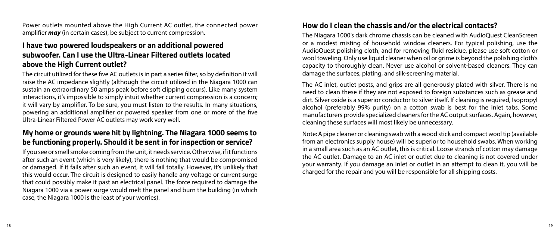Power outlets mounted above the High Current AC outlet, the connected power amplifier *may* (in certain cases), be subject to current compression.

## **I have two powered loudspeakers or an additional powered subwoofer. Can I use the Ultra-Linear Filtered outlets located above the High Current outlet?**

The circuit utilized for these five AC outlets is in part a series filter, so by definition it will raise the AC impedance slightly (although the circuit utilized in the Niagara 1000 can sustain an extraordinary 50 amps peak before soft clipping occurs). Like many system interactions, it's impossible to simply intuit whether current compression is a concern; it will vary by amplifier. To be sure, you must listen to the results. In many situations, powering an additional amplifier or powered speaker from one or more of the five Ultra-Linear Filtered Power AC outlets may work very well.

## **My home or grounds were hit by lightning. The Niagara 1000 seems to be functioning properly. Should it be sent in for inspection or service?**

If you see or smell smoke coming from the unit, it needs service. Otherwise, if it functions after such an event (which is very likely), there is nothing that would be compromised or damaged. If it fails after such an event, it will fail totally. However, it's unlikely that this would occur. The circuit is designed to easily handle any voltage or current surge that could possibly make it past an electrical panel. The force required to damage the Niagara 1000 via a power surge would melt the panel and burn the building (in which case, the Niagara 1000 is the least of your worries).

#### **How do I clean the chassis and/or the electrical contacts?**

The Niagara 1000's dark chrome chassis can be cleaned with AudioQuest CleanScreen or a modest misting of household window cleaners. For typical polishing, use the AudioQuest polishing cloth, and for removing fluid residue, please use soft cotton or wool toweling. Only use liquid cleaner when oil or grime is beyond the polishing cloth's capacity to thoroughly clean. Never use alcohol or solvent-based cleaners. They can damage the surfaces, plating, and silk-screening material.

The AC inlet, outlet posts, and grips are all generously plated with silver. There is no need to clean these if they are not exposed to foreign substances such as grease and dirt. Silver oxide is a superior conductor to silver itself. If cleaning is required, Isopropyl alcohol (preferably 99% purity) on a cotton swab is best for the inlet tabs. Some manufacturers provide specialized cleaners for the AC output surfaces. Again, however, cleaning these surfaces will most likely be unnecessary.

Note: A pipe cleaner or cleaning swab with a wood stick and compact wool tip (available from an electronics supply house) will be superior to household swabs. When working in a small area such as an AC outlet, this is critical. Loose strands of cotton may damage the AC outlet. Damage to an AC inlet or outlet due to cleaning is not covered under your warranty. If you damage an inlet or outlet in an attempt to clean it, you will be charged for the repair and you will be responsible for all shipping costs.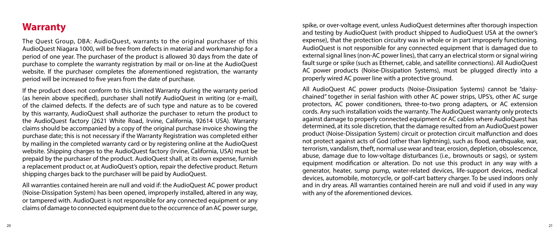# **Warranty**

The Quest Group, DBA: AudioQuest, warrants to the original purchaser of this AudioQuest Niagara 1000, will be free from defects in material and workmanship for a period of one year. The purchaser of the product is allowed 30 days from the date of purchase to complete the warranty registration by mail or on-line at the AudioQuest website. If the purchaser completes the aforementioned registration, the warranty period will be increased to five years from the date of purchase.

If the product does not conform to this Limited Warranty during the warranty period (as herein above specified), purchaser shall notify AudioQuest in writing (or e-mail), of the claimed defects. If the defects are of such type and nature as to be covered by this warranty, AudioQuest shall authorize the purchaser to return the product to the AudioQuest factory (2621 White Road, Irvine, California, 92614 USA). Warranty claims should be accompanied by a copy of the original purchase invoice showing the purchase date; this is not necessary if the Warranty Registration was completed either by mailing in the completed warranty card or by registering online at the AudioQuest website. Shipping charges to the AudioQuest factory (Irvine, California, USA) must be prepaid by the purchaser of the product. AudioQuest shall, at its own expense, furnish a replacement product or, at AudioQuest's option, repair the defective product. Return shipping charges back to the purchaser will be paid by AudioQuest.

All warranties contained herein are null and void if: the AudioQuest AC power product (Noise-Dissipation System) has been opened, improperly installed, altered in any way, or tampered with. AudioQuest is not responsible for any connected equipment or any claims of damage to connected equipment due to the occurrence of an AC power surge,

spike, or over-voltage event, unless AudioQuest determines after thorough inspection and testing by AudioQuest (with product shipped to AudioQuest USA at the owner's expense), that the protection circuitry was in whole or in part improperly functioning. AudioQuest is not responsible for any connected equipment that is damaged due to external signal lines (non-AC power lines), that carry an electrical storm or signal wiring fault surge or spike (such as Ethernet, cable, and satellite connections). All AudioQuest AC power products (Noise-Dissipation Systems), must be plugged directly into a properly wired AC power line with a protective ground.

All AudioQuest AC power products (Noise-Dissipation Systems) cannot be "daisychained" together in serial fashion with other AC power strips, UPS's, other AC surge protectors, AC power conditioners, three-to-two prong adapters, or AC extension cords. Any such installation voids the warranty. The AudioQuest warranty only protects against damage to properly connected equipment or AC cables where AudioQuest has determined, at its sole discretion, that the damage resulted from an AudioQuest power product (Noise-Dissipation System) circuit or protection circuit malfunction and does not protect against acts of God (other than lightning), such as flood, earthquake, war, terrorism, vandalism, theft, normal use wear and tear, erosion, depletion, obsolescence, abuse, damage due to low-voltage disturbances (i.e., brownouts or sags), or system equipment modification or alteration. Do not use this product in any way with a generator, heater, sump pump, water-related devices, life-support devices, medical devices, automobile, motorcycle, or golf-cart battery charger. To be used indoors only and in dry areas. All warranties contained herein are null and void if used in any way with any of the aforementioned devices.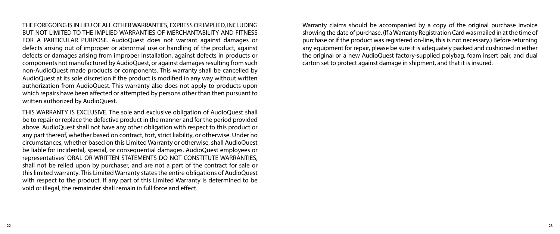THE FOREGOING IS IN LIEU OF ALL OTHER WARRANTIES, EXPRESS OR IMPLIED, INCLUDING BUT NOT LIMITED TO THE IMPLIED WARRANTIES OF MERCHANTABILITY AND FITNESS FOR A PARTICULAR PURPOSE. AudioQuest does not warrant against damages or defects arising out of improper or abnormal use or handling of the product, against defects or damages arising from improper installation, against defects in products or components not manufactured by AudioQuest, or against damages resulting from such non-AudioQuest made products or components. This warranty shall be cancelled by AudioQuest at its sole discretion if the product is modified in any way without written authorization from AudioQuest. This warranty also does not apply to products upon which repairs have been affected or attempted by persons other than then pursuant to written authorized by AudioQuest.

THIS WARRANTY IS EXCLUSIVE. The sole and exclusive obligation of AudioQuest shall be to repair or replace the defective product in the manner and for the period provided above. AudioQuest shall not have any other obligation with respect to this product or any part thereof, whether based on contract, tort, strict liability, or otherwise. Under no circumstances, whether based on this Limited Warranty or otherwise, shall AudioQuest be liable for incidental, special, or consequential damages. AudioQuest employees or representatives' ORAL OR WRITTEN STATEMENTS DO NOT CONSTITUTE WARRANTIES, shall not be relied upon by purchaser, and are not a part of the contract for sale or this limited warranty. This Limited Warranty states the entire obligations of AudioQuest with respect to the product. If any part of this Limited Warranty is determined to be void or illegal, the remainder shall remain in full force and effect.

Warranty claims should be accompanied by a copy of the original purchase invoice showing the date of purchase. (If a Warranty Registration Card was mailed in at the time of purchase or if the product was registered on-line, this is not necessary.) Before returning any equipment for repair, please be sure it is adequately packed and cushioned in either the original or a new AudioQuest factory-supplied polybag, foam insert pair, and dual carton set to protect against damage in shipment, and that it is insured.